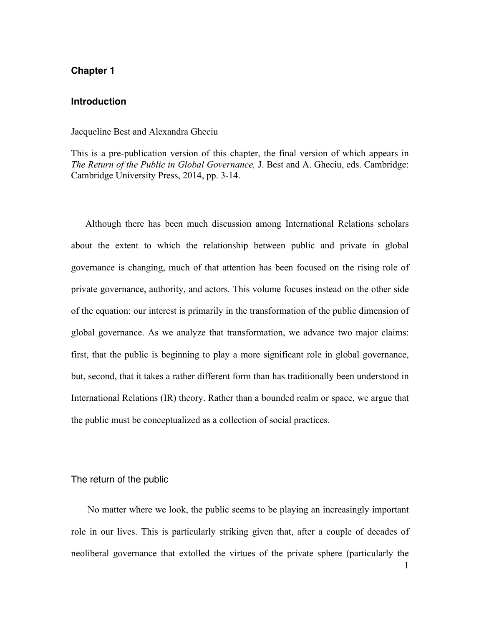# **Chapter 1**

# **Introduction**

#### Jacqueline Best and Alexandra Gheciu

This is a pre-publication version of this chapter, the final version of which appears in *The Return of the Public in Global Governance,* J. Best and A. Gheciu, eds. Cambridge: Cambridge University Press, 2014, pp. 3-14.

Although there has been much discussion among International Relations scholars about the extent to which the relationship between public and private in global governance is changing, much of that attention has been focused on the rising role of private governance, authority, and actors. This volume focuses instead on the other side of the equation: our interest is primarily in the transformation of the public dimension of global governance. As we analyze that transformation, we advance two major claims: first, that the public is beginning to play a more significant role in global governance, but, second, that it takes a rather different form than has traditionally been understood in International Relations (IR) theory. Rather than a bounded realm or space, we argue that the public must be conceptualized as a collection of social practices.

### The return of the public

No matter where we look, the public seems to be playing an increasingly important role in our lives. This is particularly striking given that, after a couple of decades of neoliberal governance that extolled the virtues of the private sphere (particularly the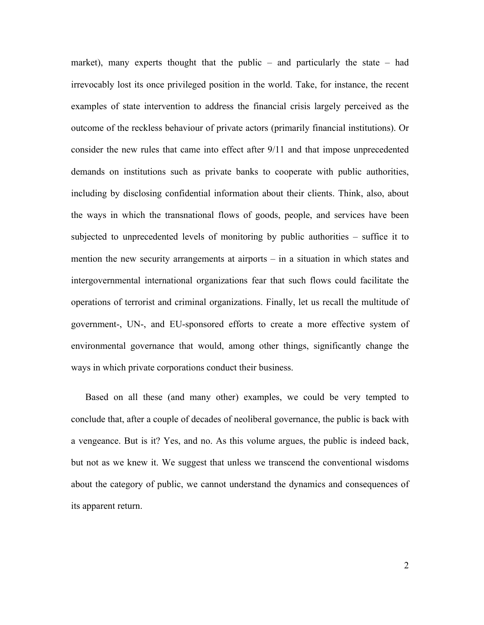market), many experts thought that the public – and particularly the state – had irrevocably lost its once privileged position in the world. Take, for instance, the recent examples of state intervention to address the financial crisis largely perceived as the outcome of the reckless behaviour of private actors (primarily financial institutions). Or consider the new rules that came into effect after 9/11 and that impose unprecedented demands on institutions such as private banks to cooperate with public authorities, including by disclosing confidential information about their clients. Think, also, about the ways in which the transnational flows of goods, people, and services have been subjected to unprecedented levels of monitoring by public authorities – suffice it to mention the new security arrangements at airports – in a situation in which states and intergovernmental international organizations fear that such flows could facilitate the operations of terrorist and criminal organizations. Finally, let us recall the multitude of government-, UN-, and EU-sponsored efforts to create a more effective system of environmental governance that would, among other things, significantly change the ways in which private corporations conduct their business.

Based on all these (and many other) examples, we could be very tempted to conclude that, after a couple of decades of neoliberal governance, the public is back with a vengeance. But is it? Yes, and no. As this volume argues, the public is indeed back, but not as we knew it. We suggest that unless we transcend the conventional wisdoms about the category of public, we cannot understand the dynamics and consequences of its apparent return.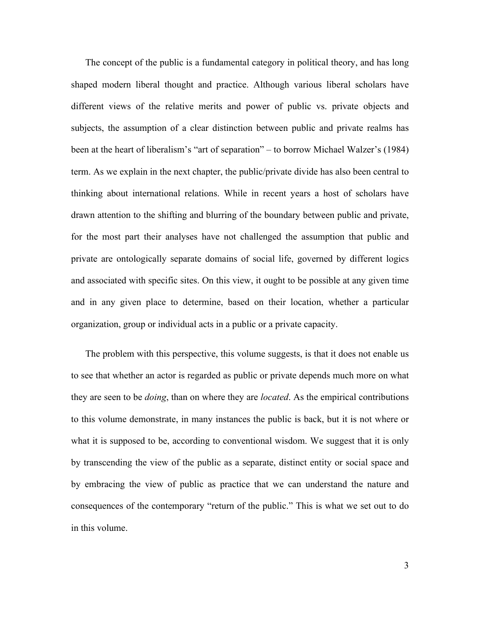The concept of the public is a fundamental category in political theory, and has long shaped modern liberal thought and practice. Although various liberal scholars have different views of the relative merits and power of public vs. private objects and subjects, the assumption of a clear distinction between public and private realms has been at the heart of liberalism's "art of separation" – to borrow Michael Walzer's (1984) term. As we explain in the next chapter, the public/private divide has also been central to thinking about international relations. While in recent years a host of scholars have drawn attention to the shifting and blurring of the boundary between public and private, for the most part their analyses have not challenged the assumption that public and private are ontologically separate domains of social life, governed by different logics and associated with specific sites. On this view, it ought to be possible at any given time and in any given place to determine, based on their location, whether a particular organization, group or individual acts in a public or a private capacity.

The problem with this perspective, this volume suggests, is that it does not enable us to see that whether an actor is regarded as public or private depends much more on what they are seen to be *doing*, than on where they are *located*. As the empirical contributions to this volume demonstrate, in many instances the public is back, but it is not where or what it is supposed to be, according to conventional wisdom. We suggest that it is only by transcending the view of the public as a separate, distinct entity or social space and by embracing the view of public as practice that we can understand the nature and consequences of the contemporary "return of the public." This is what we set out to do in this volume.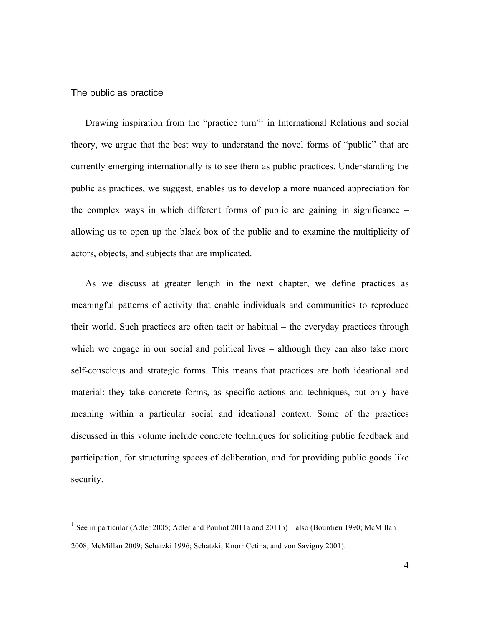### The public as practice

Drawing inspiration from the "practice turn"<sup>1</sup> in International Relations and social theory, we argue that the best way to understand the novel forms of "public" that are currently emerging internationally is to see them as public practices. Understanding the public as practices, we suggest, enables us to develop a more nuanced appreciation for the complex ways in which different forms of public are gaining in significance – allowing us to open up the black box of the public and to examine the multiplicity of actors, objects, and subjects that are implicated.

As we discuss at greater length in the next chapter, we define practices as meaningful patterns of activity that enable individuals and communities to reproduce their world. Such practices are often tacit or habitual – the everyday practices through which we engage in our social and political lives – although they can also take more self-conscious and strategic forms. This means that practices are both ideational and material: they take concrete forms, as specific actions and techniques, but only have meaning within a particular social and ideational context. Some of the practices discussed in this volume include concrete techniques for soliciting public feedback and participation, for structuring spaces of deliberation, and for providing public goods like security.

<sup>&</sup>lt;sup>1</sup> See in particular (Adler 2005; Adler and Pouliot 2011a and 2011b) – also (Bourdieu 1990; McMillan 2008; McMillan 2009; Schatzki 1996; Schatzki, Knorr Cetina, and von Savigny 2001).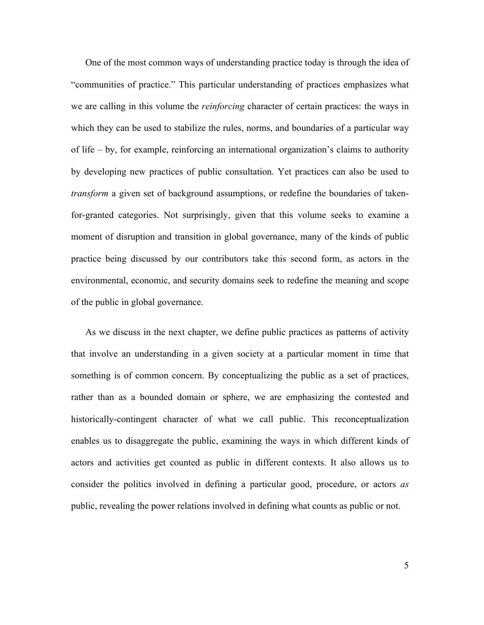One of the most common ways of understanding practice today is through the idea of "communities of practice." This particular understanding of practices emphasizes what we are calling in this volume the *reinforcing* character of certain practices: the ways in which they can be used to stabilize the rules, norms, and boundaries of a particular way of life – by, for example, reinforcing an international organization's claims to authority by developing new practices of public consultation. Yet practices can also be used to *transform* a given set of background assumptions, or redefine the boundaries of takenfor-granted categories. Not surprisingly, given that this volume seeks to examine a moment of disruption and transition in global governance, many of the kinds of public practice being discussed by our contributors take this second form, as actors in the environmental, economic, and security domains seek to redefine the meaning and scope of the public in global governance.

As we discuss in the next chapter, we define public practices as patterns of activity that involve an understanding in a given society at a particular moment in time that something is of common concern. By conceptualizing the public as a set of practices, rather than as a bounded domain or sphere, we are emphasizing the contested and historically-contingent character of what we call public. This reconceptualization enables us to disaggregate the public, examining the ways in which different kinds of actors and activities get counted as public in different contexts. It also allows us to consider the politics involved in defining a particular good, procedure, or actors *as* public, revealing the power relations involved in defining what counts as public or not.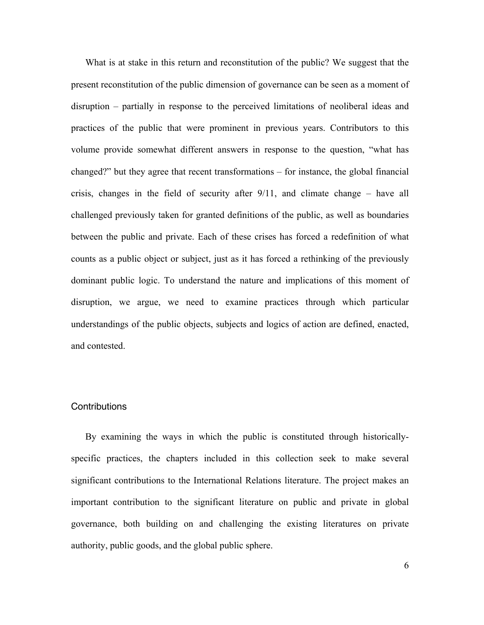What is at stake in this return and reconstitution of the public? We suggest that the present reconstitution of the public dimension of governance can be seen as a moment of disruption – partially in response to the perceived limitations of neoliberal ideas and practices of the public that were prominent in previous years. Contributors to this volume provide somewhat different answers in response to the question, "what has changed?" but they agree that recent transformations – for instance, the global financial crisis, changes in the field of security after 9/11, and climate change – have all challenged previously taken for granted definitions of the public, as well as boundaries between the public and private. Each of these crises has forced a redefinition of what counts as a public object or subject, just as it has forced a rethinking of the previously dominant public logic. To understand the nature and implications of this moment of disruption, we argue, we need to examine practices through which particular understandings of the public objects, subjects and logics of action are defined, enacted, and contested.

### **Contributions**

By examining the ways in which the public is constituted through historicallyspecific practices, the chapters included in this collection seek to make several significant contributions to the International Relations literature. The project makes an important contribution to the significant literature on public and private in global governance, both building on and challenging the existing literatures on private authority, public goods, and the global public sphere.

6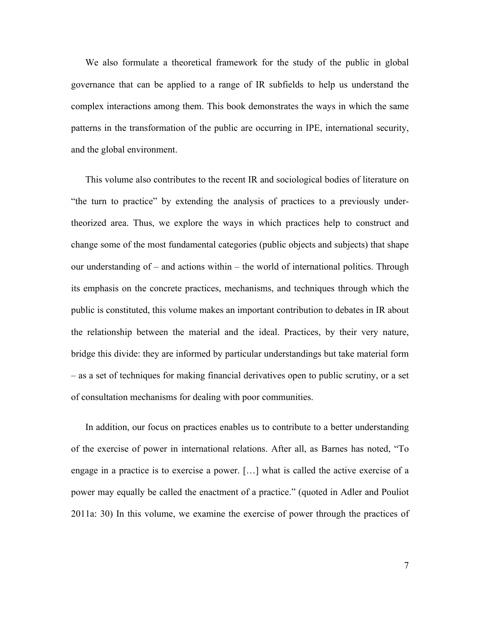We also formulate a theoretical framework for the study of the public in global governance that can be applied to a range of IR subfields to help us understand the complex interactions among them. This book demonstrates the ways in which the same patterns in the transformation of the public are occurring in IPE, international security, and the global environment.

This volume also contributes to the recent IR and sociological bodies of literature on "the turn to practice" by extending the analysis of practices to a previously undertheorized area. Thus, we explore the ways in which practices help to construct and change some of the most fundamental categories (public objects and subjects) that shape our understanding of – and actions within – the world of international politics. Through its emphasis on the concrete practices, mechanisms, and techniques through which the public is constituted, this volume makes an important contribution to debates in IR about the relationship between the material and the ideal. Practices, by their very nature, bridge this divide: they are informed by particular understandings but take material form – as a set of techniques for making financial derivatives open to public scrutiny, or a set of consultation mechanisms for dealing with poor communities.

In addition, our focus on practices enables us to contribute to a better understanding of the exercise of power in international relations. After all, as Barnes has noted, "To engage in a practice is to exercise a power. […] what is called the active exercise of a power may equally be called the enactment of a practice." (quoted in Adler and Pouliot 2011a: 30) In this volume, we examine the exercise of power through the practices of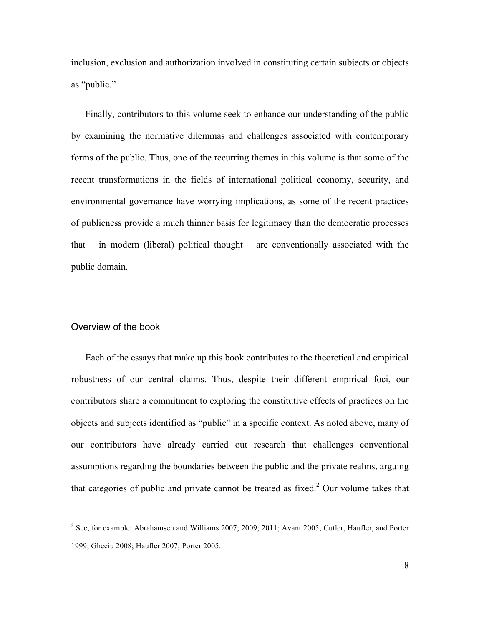inclusion, exclusion and authorization involved in constituting certain subjects or objects as "public."

Finally, contributors to this volume seek to enhance our understanding of the public by examining the normative dilemmas and challenges associated with contemporary forms of the public. Thus, one of the recurring themes in this volume is that some of the recent transformations in the fields of international political economy, security, and environmental governance have worrying implications, as some of the recent practices of publicness provide a much thinner basis for legitimacy than the democratic processes that – in modern (liberal) political thought – are conventionally associated with the public domain.

## Overview of the book

Each of the essays that make up this book contributes to the theoretical and empirical robustness of our central claims. Thus, despite their different empirical foci, our contributors share a commitment to exploring the constitutive effects of practices on the objects and subjects identified as "public" in a specific context. As noted above, many of our contributors have already carried out research that challenges conventional assumptions regarding the boundaries between the public and the private realms, arguing that categories of public and private cannot be treated as fixed.<sup>2</sup> Our volume takes that

<sup>&</sup>lt;sup>2</sup> See, for example: Abrahamsen and Williams 2007; 2009; 2011; Avant 2005; Cutler, Haufler, and Porter 1999; Gheciu 2008; Haufler 2007; Porter 2005.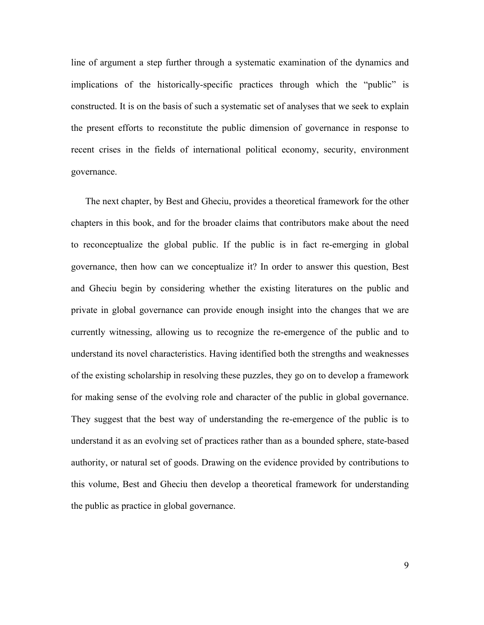line of argument a step further through a systematic examination of the dynamics and implications of the historically-specific practices through which the "public" is constructed. It is on the basis of such a systematic set of analyses that we seek to explain the present efforts to reconstitute the public dimension of governance in response to recent crises in the fields of international political economy, security, environment governance.

The next chapter, by Best and Gheciu, provides a theoretical framework for the other chapters in this book, and for the broader claims that contributors make about the need to reconceptualize the global public. If the public is in fact re-emerging in global governance, then how can we conceptualize it? In order to answer this question, Best and Gheciu begin by considering whether the existing literatures on the public and private in global governance can provide enough insight into the changes that we are currently witnessing, allowing us to recognize the re-emergence of the public and to understand its novel characteristics. Having identified both the strengths and weaknesses of the existing scholarship in resolving these puzzles, they go on to develop a framework for making sense of the evolving role and character of the public in global governance. They suggest that the best way of understanding the re-emergence of the public is to understand it as an evolving set of practices rather than as a bounded sphere, state-based authority, or natural set of goods. Drawing on the evidence provided by contributions to this volume, Best and Gheciu then develop a theoretical framework for understanding the public as practice in global governance.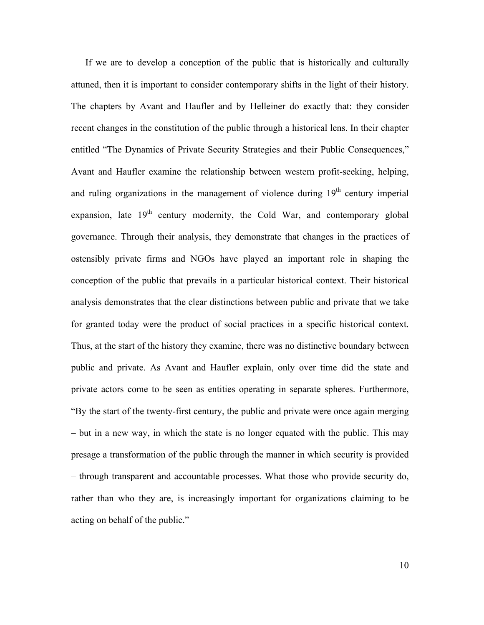If we are to develop a conception of the public that is historically and culturally attuned, then it is important to consider contemporary shifts in the light of their history. The chapters by Avant and Haufler and by Helleiner do exactly that: they consider recent changes in the constitution of the public through a historical lens. In their chapter entitled "The Dynamics of Private Security Strategies and their Public Consequences," Avant and Haufler examine the relationship between western profit-seeking, helping, and ruling organizations in the management of violence during  $19<sup>th</sup>$  century imperial expansion, late 19<sup>th</sup> century modernity, the Cold War, and contemporary global governance. Through their analysis, they demonstrate that changes in the practices of ostensibly private firms and NGOs have played an important role in shaping the conception of the public that prevails in a particular historical context. Their historical analysis demonstrates that the clear distinctions between public and private that we take for granted today were the product of social practices in a specific historical context. Thus, at the start of the history they examine, there was no distinctive boundary between public and private. As Avant and Haufler explain, only over time did the state and private actors come to be seen as entities operating in separate spheres. Furthermore, "By the start of the twenty-first century, the public and private were once again merging – but in a new way, in which the state is no longer equated with the public. This may presage a transformation of the public through the manner in which security is provided – through transparent and accountable processes. What those who provide security do, rather than who they are, is increasingly important for organizations claiming to be acting on behalf of the public."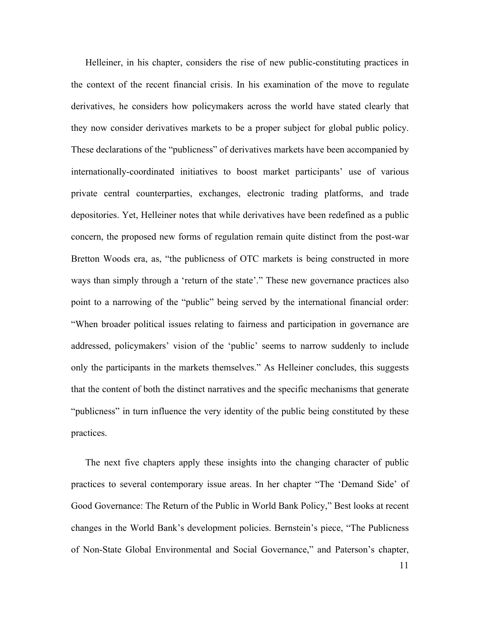Helleiner, in his chapter, considers the rise of new public-constituting practices in the context of the recent financial crisis. In his examination of the move to regulate derivatives, he considers how policymakers across the world have stated clearly that they now consider derivatives markets to be a proper subject for global public policy. These declarations of the "publicness" of derivatives markets have been accompanied by internationally-coordinated initiatives to boost market participants' use of various private central counterparties, exchanges, electronic trading platforms, and trade depositories. Yet, Helleiner notes that while derivatives have been redefined as a public concern, the proposed new forms of regulation remain quite distinct from the post-war Bretton Woods era, as, "the publicness of OTC markets is being constructed in more ways than simply through a 'return of the state'." These new governance practices also point to a narrowing of the "public" being served by the international financial order: "When broader political issues relating to fairness and participation in governance are addressed, policymakers' vision of the 'public' seems to narrow suddenly to include only the participants in the markets themselves." As Helleiner concludes, this suggests that the content of both the distinct narratives and the specific mechanisms that generate "publicness" in turn influence the very identity of the public being constituted by these practices.

The next five chapters apply these insights into the changing character of public practices to several contemporary issue areas. In her chapter "The 'Demand Side' of Good Governance: The Return of the Public in World Bank Policy," Best looks at recent changes in the World Bank's development policies. Bernstein's piece, "The Publicness of Non-State Global Environmental and Social Governance," and Paterson's chapter,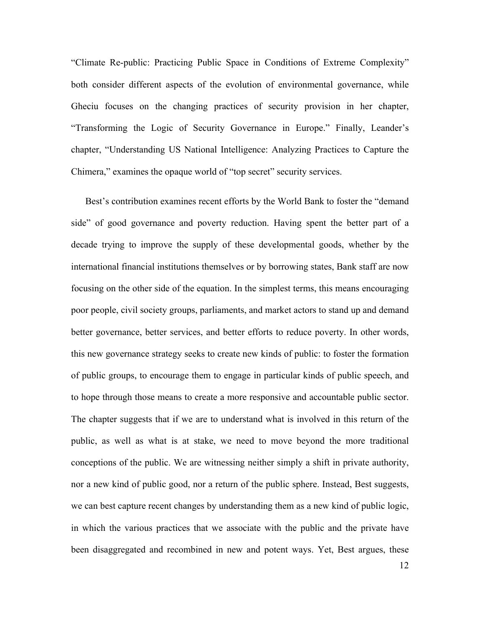"Climate Re-public: Practicing Public Space in Conditions of Extreme Complexity" both consider different aspects of the evolution of environmental governance, while Gheciu focuses on the changing practices of security provision in her chapter, "Transforming the Logic of Security Governance in Europe." Finally, Leander's chapter, "Understanding US National Intelligence: Analyzing Practices to Capture the Chimera," examines the opaque world of "top secret" security services.

Best's contribution examines recent efforts by the World Bank to foster the "demand side" of good governance and poverty reduction. Having spent the better part of a decade trying to improve the supply of these developmental goods, whether by the international financial institutions themselves or by borrowing states, Bank staff are now focusing on the other side of the equation. In the simplest terms, this means encouraging poor people, civil society groups, parliaments, and market actors to stand up and demand better governance, better services, and better efforts to reduce poverty. In other words, this new governance strategy seeks to create new kinds of public: to foster the formation of public groups, to encourage them to engage in particular kinds of public speech, and to hope through those means to create a more responsive and accountable public sector. The chapter suggests that if we are to understand what is involved in this return of the public, as well as what is at stake, we need to move beyond the more traditional conceptions of the public. We are witnessing neither simply a shift in private authority, nor a new kind of public good, nor a return of the public sphere. Instead, Best suggests, we can best capture recent changes by understanding them as a new kind of public logic, in which the various practices that we associate with the public and the private have been disaggregated and recombined in new and potent ways. Yet, Best argues, these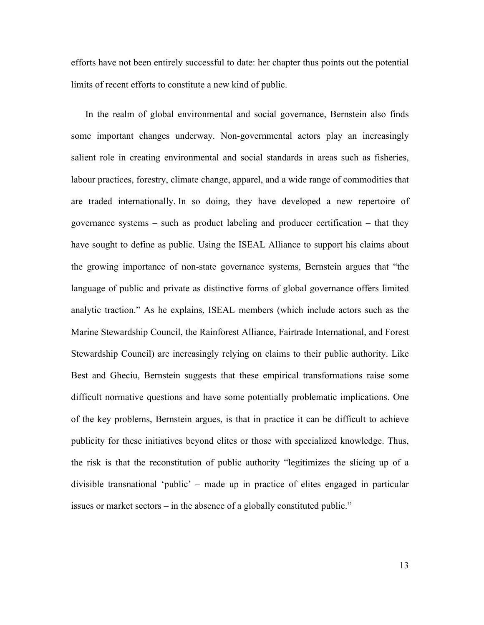efforts have not been entirely successful to date: her chapter thus points out the potential limits of recent efforts to constitute a new kind of public.

In the realm of global environmental and social governance, Bernstein also finds some important changes underway. Non-governmental actors play an increasingly salient role in creating environmental and social standards in areas such as fisheries, labour practices, forestry, climate change, apparel, and a wide range of commodities that are traded internationally. In so doing, they have developed a new repertoire of governance systems – such as product labeling and producer certification – that they have sought to define as public. Using the ISEAL Alliance to support his claims about the growing importance of non-state governance systems, Bernstein argues that "the language of public and private as distinctive forms of global governance offers limited analytic traction." As he explains, ISEAL members (which include actors such as the Marine Stewardship Council, the Rainforest Alliance, Fairtrade International, and Forest Stewardship Council) are increasingly relying on claims to their public authority. Like Best and Gheciu, Bernstein suggests that these empirical transformations raise some difficult normative questions and have some potentially problematic implications. One of the key problems, Bernstein argues, is that in practice it can be difficult to achieve publicity for these initiatives beyond elites or those with specialized knowledge. Thus, the risk is that the reconstitution of public authority "legitimizes the slicing up of a divisible transnational 'public' – made up in practice of elites engaged in particular issues or market sectors – in the absence of a globally constituted public."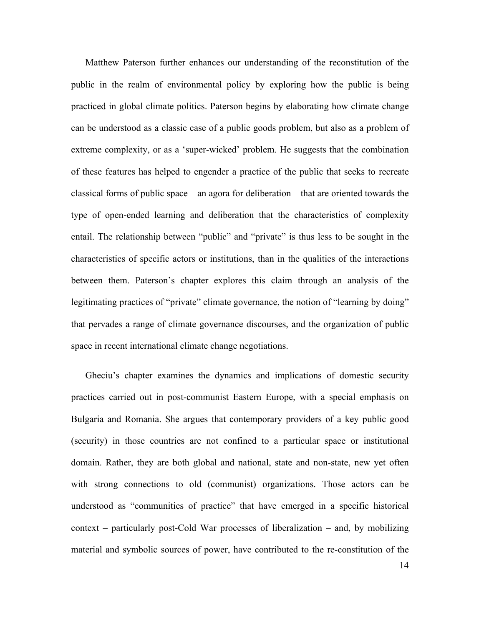Matthew Paterson further enhances our understanding of the reconstitution of the public in the realm of environmental policy by exploring how the public is being practiced in global climate politics. Paterson begins by elaborating how climate change can be understood as a classic case of a public goods problem, but also as a problem of extreme complexity, or as a 'super-wicked' problem. He suggests that the combination of these features has helped to engender a practice of the public that seeks to recreate classical forms of public space – an agora for deliberation – that are oriented towards the type of open-ended learning and deliberation that the characteristics of complexity entail. The relationship between "public" and "private" is thus less to be sought in the characteristics of specific actors or institutions, than in the qualities of the interactions between them. Paterson's chapter explores this claim through an analysis of the legitimating practices of "private" climate governance, the notion of "learning by doing" that pervades a range of climate governance discourses, and the organization of public space in recent international climate change negotiations.

Gheciu's chapter examines the dynamics and implications of domestic security practices carried out in post-communist Eastern Europe, with a special emphasis on Bulgaria and Romania. She argues that contemporary providers of a key public good (security) in those countries are not confined to a particular space or institutional domain. Rather, they are both global and national, state and non-state, new yet often with strong connections to old (communist) organizations. Those actors can be understood as "communities of practice" that have emerged in a specific historical context – particularly post-Cold War processes of liberalization – and, by mobilizing material and symbolic sources of power, have contributed to the re-constitution of the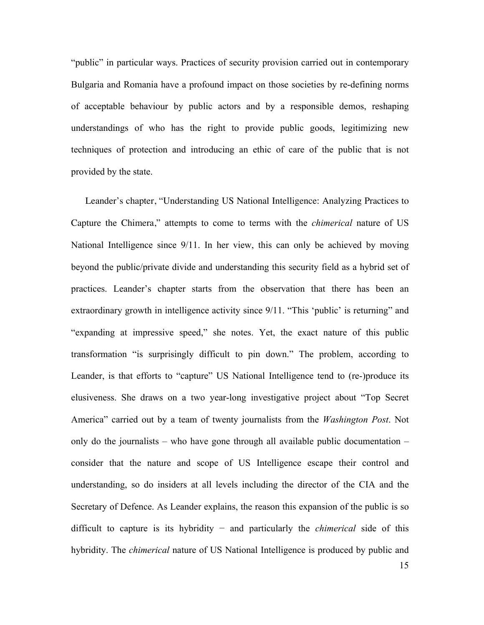"public" in particular ways. Practices of security provision carried out in contemporary Bulgaria and Romania have a profound impact on those societies by re-defining norms of acceptable behaviour by public actors and by a responsible demos, reshaping understandings of who has the right to provide public goods, legitimizing new techniques of protection and introducing an ethic of care of the public that is not provided by the state.

Leander's chapter, "Understanding US National Intelligence: Analyzing Practices to Capture the Chimera," attempts to come to terms with the *chimerical* nature of US National Intelligence since 9/11. In her view, this can only be achieved by moving beyond the public/private divide and understanding this security field as a hybrid set of practices. Leander's chapter starts from the observation that there has been an extraordinary growth in intelligence activity since 9/11. "This 'public' is returning" and "expanding at impressive speed," she notes. Yet, the exact nature of this public transformation "is surprisingly difficult to pin down." The problem, according to Leander, is that efforts to "capture" US National Intelligence tend to (re-)produce its elusiveness. She draws on a two year-long investigative project about "Top Secret America" carried out by a team of twenty journalists from the *Washington Post*. Not only do the journalists – who have gone through all available public documentation – consider that the nature and scope of US Intelligence escape their control and understanding, so do insiders at all levels including the director of the CIA and the Secretary of Defence. As Leander explains, the reason this expansion of the public is so difficult to capture is its hybridity − and particularly the *chimerical* side of this hybridity. The *chimerical* nature of US National Intelligence is produced by public and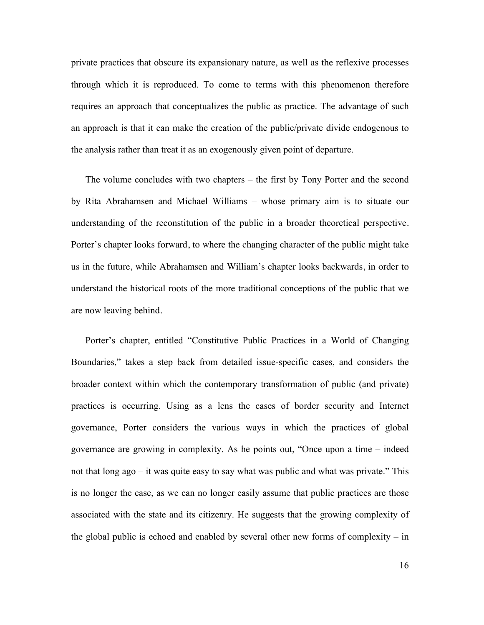private practices that obscure its expansionary nature, as well as the reflexive processes through which it is reproduced. To come to terms with this phenomenon therefore requires an approach that conceptualizes the public as practice. The advantage of such an approach is that it can make the creation of the public/private divide endogenous to the analysis rather than treat it as an exogenously given point of departure.

The volume concludes with two chapters – the first by Tony Porter and the second by Rita Abrahamsen and Michael Williams – whose primary aim is to situate our understanding of the reconstitution of the public in a broader theoretical perspective. Porter's chapter looks forward, to where the changing character of the public might take us in the future, while Abrahamsen and William's chapter looks backwards, in order to understand the historical roots of the more traditional conceptions of the public that we are now leaving behind.

Porter's chapter, entitled "Constitutive Public Practices in a World of Changing Boundaries," takes a step back from detailed issue-specific cases, and considers the broader context within which the contemporary transformation of public (and private) practices is occurring. Using as a lens the cases of border security and Internet governance, Porter considers the various ways in which the practices of global governance are growing in complexity. As he points out, "Once upon a time – indeed not that long ago – it was quite easy to say what was public and what was private." This is no longer the case, as we can no longer easily assume that public practices are those associated with the state and its citizenry. He suggests that the growing complexity of the global public is echoed and enabled by several other new forms of complexity – in

16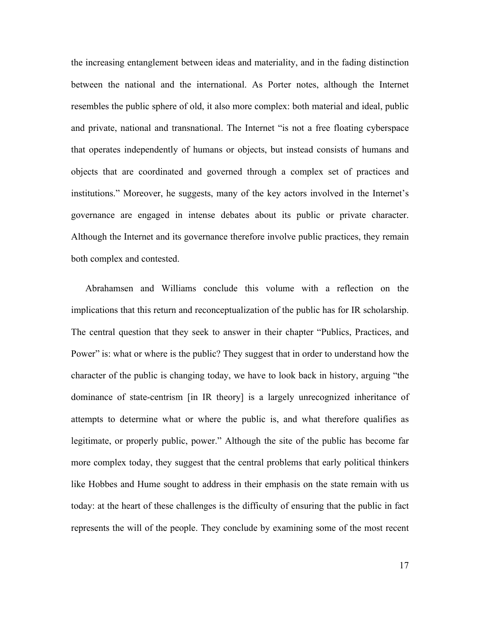the increasing entanglement between ideas and materiality, and in the fading distinction between the national and the international. As Porter notes, although the Internet resembles the public sphere of old, it also more complex: both material and ideal, public and private, national and transnational. The Internet "is not a free floating cyberspace that operates independently of humans or objects, but instead consists of humans and objects that are coordinated and governed through a complex set of practices and institutions." Moreover, he suggests, many of the key actors involved in the Internet's governance are engaged in intense debates about its public or private character. Although the Internet and its governance therefore involve public practices, they remain both complex and contested.

Abrahamsen and Williams conclude this volume with a reflection on the implications that this return and reconceptualization of the public has for IR scholarship. The central question that they seek to answer in their chapter "Publics, Practices, and Power" is: what or where is the public? They suggest that in order to understand how the character of the public is changing today, we have to look back in history, arguing "the dominance of state-centrism [in IR theory] is a largely unrecognized inheritance of attempts to determine what or where the public is, and what therefore qualifies as legitimate, or properly public, power." Although the site of the public has become far more complex today, they suggest that the central problems that early political thinkers like Hobbes and Hume sought to address in their emphasis on the state remain with us today: at the heart of these challenges is the difficulty of ensuring that the public in fact represents the will of the people. They conclude by examining some of the most recent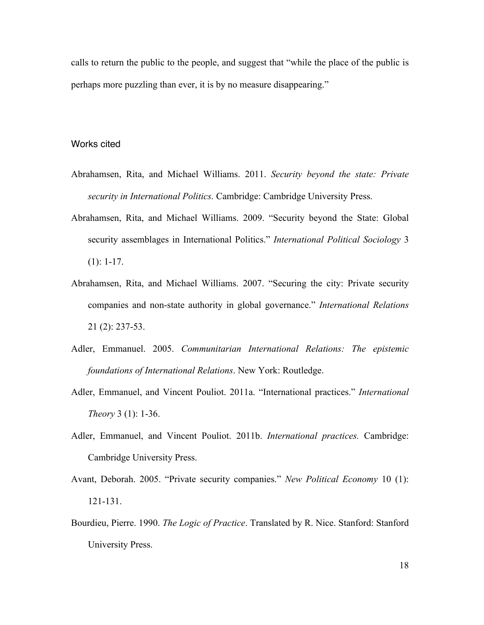calls to return the public to the people, and suggest that "while the place of the public is perhaps more puzzling than ever, it is by no measure disappearing."

# Works cited

- Abrahamsen, Rita, and Michael Williams. 2011. *Security beyond the state: Private security in International Politics.* Cambridge: Cambridge University Press.
- Abrahamsen, Rita, and Michael Williams. 2009. "Security beyond the State: Global security assemblages in International Politics." *International Political Sociology* 3  $(1): 1-17.$
- Abrahamsen, Rita, and Michael Williams. 2007. "Securing the city: Private security companies and non-state authority in global governance." *International Relations* 21 (2): 237-53.
- Adler, Emmanuel. 2005. *Communitarian International Relations: The epistemic foundations of International Relations*. New York: Routledge.
- Adler, Emmanuel, and Vincent Pouliot. 2011a. "International practices." *International Theory* 3 (1): 1-36.
- Adler, Emmanuel, and Vincent Pouliot. 2011b. *International practices.* Cambridge: Cambridge University Press.
- Avant, Deborah. 2005. "Private security companies." *New Political Economy* 10 (1): 121-131.
- Bourdieu, Pierre. 1990. *The Logic of Practice*. Translated by R. Nice. Stanford: Stanford University Press.